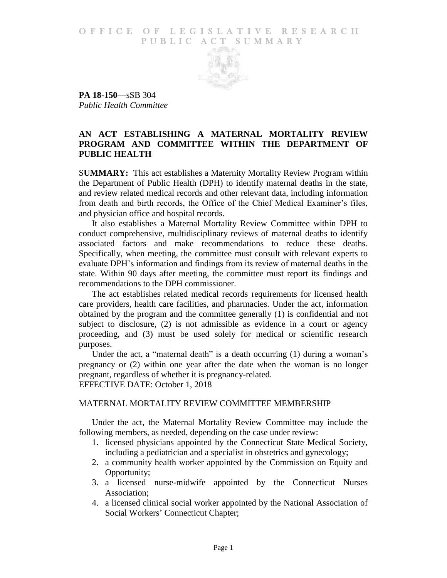## O F FICE OF LEGISLATIVE RESEARCH PUBLIC ACT SUMMARY



**PA 18-150**—sSB 304 *Public Health Committee*

## **AN ACT ESTABLISHING A MATERNAL MORTALITY REVIEW PROGRAM AND COMMITTEE WITHIN THE DEPARTMENT OF PUBLIC HEALTH**

S**UMMARY:** This act establishes a Maternity Mortality Review Program within the Department of Public Health (DPH) to identify maternal deaths in the state, and review related medical records and other relevant data, including information from death and birth records, the Office of the Chief Medical Examiner's files, and physician office and hospital records.

It also establishes a Maternal Mortality Review Committee within DPH to conduct comprehensive, multidisciplinary reviews of maternal deaths to identify associated factors and make recommendations to reduce these deaths. Specifically, when meeting, the committee must consult with relevant experts to evaluate DPH's information and findings from its review of maternal deaths in the state. Within 90 days after meeting, the committee must report its findings and recommendations to the DPH commissioner.

The act establishes related medical records requirements for licensed health care providers, health care facilities, and pharmacies. Under the act, information obtained by the program and the committee generally (1) is confidential and not subject to disclosure, (2) is not admissible as evidence in a court or agency proceeding, and (3) must be used solely for medical or scientific research purposes.

Under the act, a "maternal death" is a death occurring (1) during a woman's pregnancy or (2) within one year after the date when the woman is no longer pregnant, regardless of whether it is pregnancy-related. EFFECTIVE DATE: October 1, 2018

## MATERNAL MORTALITY REVIEW COMMITTEE MEMBERSHIP

Under the act, the Maternal Mortality Review Committee may include the following members, as needed, depending on the case under review:

- 1. licensed physicians appointed by the Connecticut State Medical Society, including a pediatrician and a specialist in obstetrics and gynecology;
- 2. a community health worker appointed by the Commission on Equity and Opportunity;
- 3. a licensed nurse-midwife appointed by the Connecticut Nurses Association;
- 4. a licensed clinical social worker appointed by the National Association of Social Workers' Connecticut Chapter;